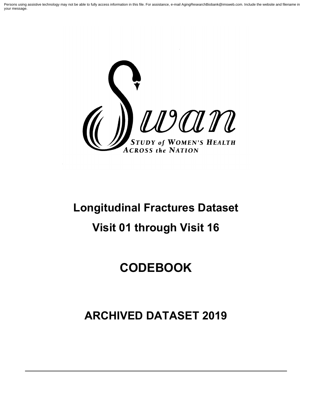Persons using assistive technology may not be able to fully access information in this file. For assistance, e-mail AgingResearchBiobank@imsweb.com. Include the website and filename in your message.



# **Longitudinal Fractures Dataset Visit 01 through Visit 16**

## **CODEBOOK**

## **ARCHIVED DATASET 2019**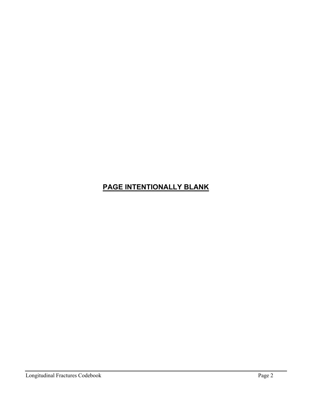## **PAGE INTENTIONALLY BLANK**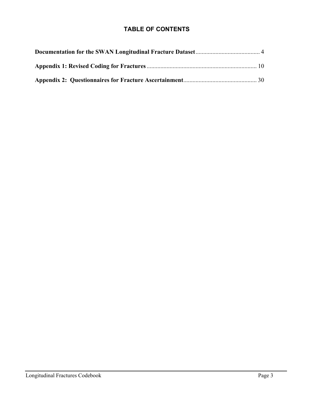## **TABLE OF CONTENTS**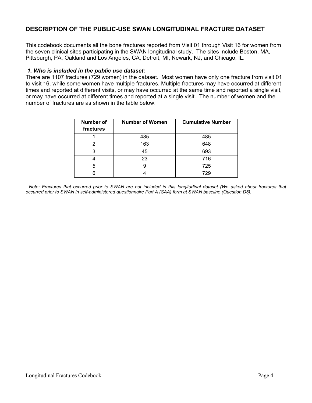## **DESCRIPTION OF THE PUBLIC-USE SWAN LONGITUDINAL FRACTURE DATASET**

This codebook documents all the bone fractures reported from Visit 01 through Visit 16 for women from the seven clinical sites participating in the SWAN longitudinal study. The sites include Boston, MA, Pittsburgh, PA, Oakland and Los Angeles, CA, Detroit, MI, Newark, NJ, and Chicago, IL.

#### *1. Who is included in the public use dataset:*

There are 1107 fractures (729 women) in the dataset. Most women have only one fracture from visit 01 to visit 16, while some women have multiple fractures. Multiple fractures may have occurred at different times and reported at different visits, or may have occurred at the same time and reported a single visit, or may have occurred at different times and reported at a single visit. The number of women and the number of fractures are as shown in the table below.

| Number of<br>fractures | <b>Number of Women</b> | <b>Cumulative Number</b> |
|------------------------|------------------------|--------------------------|
|                        | 485                    | 485                      |
| າ                      | 163                    | 648                      |
| 3                      | 45                     | 693                      |
|                        | 23                     | 716                      |
| 5                      |                        | 725                      |
|                        |                        | 729                      |

 *Note: Fractures that occurred prior to SWAN are not included in this longitudinal dataset (We asked about fractures that occurred prior to SWAN in self-administered questionnaire Part A (SAA) form at SWAN baseline (Question D5).*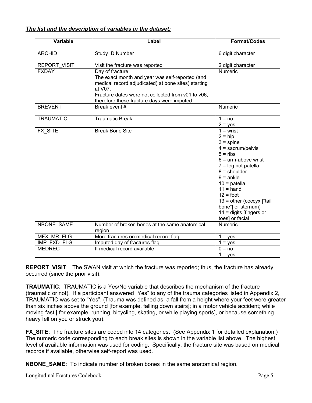### *The list and the description of variables in the dataset:*

| <b>Variable</b>     | Label                                                                                                                                                                                                                                     | <b>Format/Codes</b>                                                                                                                                                                                                                                                                                                          |
|---------------------|-------------------------------------------------------------------------------------------------------------------------------------------------------------------------------------------------------------------------------------------|------------------------------------------------------------------------------------------------------------------------------------------------------------------------------------------------------------------------------------------------------------------------------------------------------------------------------|
| <b>ARCHID</b>       | Study ID Number                                                                                                                                                                                                                           | 6 digit character                                                                                                                                                                                                                                                                                                            |
| <b>REPORT VISIT</b> | Visit the fracture was reported                                                                                                                                                                                                           | 2 digit character                                                                                                                                                                                                                                                                                                            |
| <b>FXDAY</b>        | Day of fracture:<br>The exact month and year was self-reported (and<br>medical record adjudicated) at bone sites) starting<br>at V07.<br>Fracture dates were not collected from v01 to v06,<br>therefore these fracture days were imputed | Numeric                                                                                                                                                                                                                                                                                                                      |
| <b>BREVENT</b>      | Break event#                                                                                                                                                                                                                              | <b>Numeric</b>                                                                                                                                                                                                                                                                                                               |
| <b>TRAUMATIC</b>    | <b>Traumatic Break</b>                                                                                                                                                                                                                    | $1 = no$<br>$2 = yes$                                                                                                                                                                                                                                                                                                        |
| FX SITE             | <b>Break Bone Site</b>                                                                                                                                                                                                                    | $1 = wrist$<br>$2 = hip$<br>$3 =$ spine<br>$4 = \text{sacrum/pelvis}$<br>$5 =$ ribs<br>$6 = arm$ -above wrist<br>$7 = leg not patella$<br>$8 =$ shoulder<br>$9 =$ ankle<br>$10 =$ patella<br>$11 =$ hand<br>$12 = foot$<br>$13 =$ other (coccyx ["tail<br>bone"] or sternum)<br>$14 =$ digits [fingers or<br>toes] or facial |
| NBONE_SAME          | Number of broken bones at the same anatomical<br>region                                                                                                                                                                                   | <b>Numeric</b>                                                                                                                                                                                                                                                                                                               |
| MFX MR FLG          | More fractures on medical record flag                                                                                                                                                                                                     | $1 = yes$                                                                                                                                                                                                                                                                                                                    |
| IMP FXD FLG         | Imputed day of fractures flag                                                                                                                                                                                                             | $1 = yes$                                                                                                                                                                                                                                                                                                                    |
| <b>MEDREC</b>       | If medical record available                                                                                                                                                                                                               | $0 = no$<br>$1 = yes$                                                                                                                                                                                                                                                                                                        |

**REPORT VISIT:** The SWAN visit at which the fracture was reported; thus, the fracture has already occurred (since the prior visit).

**TRAUMATIC**: TRAUMATIC is a Yes/No variable that describes the mechanism of the fracture (traumatic or not). If a participant answered "Yes" to any of the trauma categories listed in Appendix 2, TRAUMATIC was set to "Yes". (Trauma was defined as: a fall from a height where your feet were greater than six inches above the ground [for example, falling down stairs]; in a motor vehicle accident; while moving fast [ for example, running, bicycling, skating, or while playing sports], or because something heavy fell on you or struck you).

**FX\_SITE:** The fracture sites are coded into 14 categories. (See Appendix 1 for detailed explanation.) The numeric code corresponding to each break sites is shown in the variable list above. The highest level of available information was used for coding. Specifically, the fracture site was based on medical records if available, otherwise self-report was used.

**NBONE\_SAME:** To indicate number of broken bones in the same anatomical region.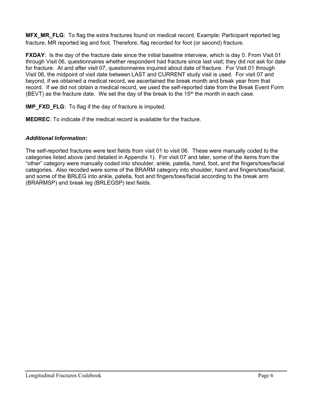**MFX\_MR\_FLG**: To flag the extra fractures found on medical record. Example: Participant reported leg fracture, MR reported leg and foot. Therefore, flag recorded for foot (or second) fracture.

**FXDAY:** Is the day of the fracture date since the initial baseline interview, which is day 0. From Visit 01 through Visit 06, questionnaires whether respondent had fracture since last visit; they did not ask for date for fracture. At and after visit 07, questionnaires inquired about date of fracture. For Visit 01 through Visit 06, the midpoint of visit date between LAST and CURRENT study visit is used.For visit 07 and beyond, if we obtained a medical record, we ascertained the break month and break year from that record. If we did not obtain a medical record, we used the self-reported date from the Break Event Form (BEVT) as the fracture date. We set the day of the break to the  $15<sup>th</sup>$  the month in each case.

**IMP\_FXD\_FLG:** To flag if the day of fracture is imputed.

**MEDREC**: To indicate if the medical record is available for the fracture.

## *Additional Information:*

The self-reported fractures were text fields from visit 01 to visit 06. These were manually coded to the categories listed above (and detailed in Appendix 1). For visit 07 and later, some of the items from the "other" category were manually coded into shoulder, ankle, patella, hand, foot, and the fingers/toes/facial categories. Also recoded were some of the BRARM category into shoulder, hand and fingers/toes/facial, and some of the BRLEG into ankle, patella, foot and fingers/toes/facial according to the break arm (BRARMSP) and break leg (BRLEGSP) text fields.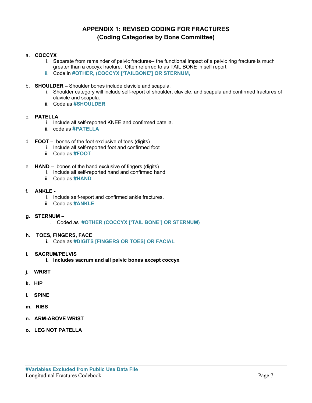## **APPENDIX 1: REVISED CODING FOR FRACTURES (Coding Categories by Bone Committee)**

#### a. **COCCYX**

- i. Separate from remainder of pelvic fractures-- the functional impact of a pelvic ring fracture is much greater than a coccyx fracture. Often referred to as TAIL BONE in self report
- ii. Code in **#OTHER, (COCCYX ['TAILBONE'] OR STERNUM,**
- b. **SHOULDER –** Shoulder bones include clavicle and scapula.
	- i. Shoulder category will include self-report of shoulder, clavicle, and scapula and confirmed fractures of clavicle and scapula.
	- ii. Code as **#SHOULDER**

#### c. **PATELLA**

- i. Include all self-reported KNEE and confirmed patella.
- ii. code as **#PATELLA**
- d. **FOOT –** bones of the foot exclusive of toes (digits)
	- i. Include all self-reported foot and confirmed foot
		- ii. Code as **#FOOT**
- e. **HAND –** bones of the hand exclusive of fingers (digits)
	- i. Include all self-reported hand and confirmed hand
	- ii. Code as **#HAND**

#### f. **ANKLE -**

- i. Include self-report and confirmed ankle fractures.
- ii. Code as **#ANKLE**

#### **g. STERNUM –**

i. Coded as **#OTHER (COCCYX ['TAIL BONE'] OR STERNUM)**

#### **h. TOES, FINGERS, FACE**

**i.** Code as **#DIGITS [FINGERS OR TOES] OR FACIAL**

#### **i. SACRUM/PELVIS**

- **i. Includes sacrum and all pelvic bones except coccyx**
- **j. WRIST**
- **k. HIP**
- **l. SPINE**
- **m. RIBS**
- **n. ARM-ABOVE WRIST**
- **o. LEG NOT PATELLA**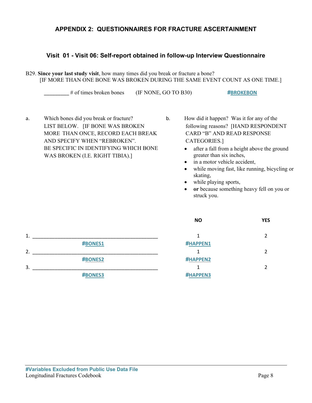## **APPENDIX 2: QUESTIONNAIRES FOR FRACTURE ASCERTAINMENT**

## **Visit 01 - Visit 06: Self-report obtained in follow-up Interview Questionnaire**

B29. **Since your last study visit**, how many times did you break or fracture a bone? [IF MORE THAN ONE BONE WAS BROKEN DURING THE SAME EVENT COUNT AS ONE TIME.]

|    | $#$ of times broken bones                                                                                                                                                                                                  | (IF NONE, GO TO B30) |    |                                                                                                                                                                                                               | <b>#BROKEBON</b>                                                                                                                                                                 |  |
|----|----------------------------------------------------------------------------------------------------------------------------------------------------------------------------------------------------------------------------|----------------------|----|---------------------------------------------------------------------------------------------------------------------------------------------------------------------------------------------------------------|----------------------------------------------------------------------------------------------------------------------------------------------------------------------------------|--|
| a. | Which bones did you break or fracture?<br>LIST BELOW. [IF BONE WAS BROKEN<br>MORE THAN ONCE, RECORD EACH BREAK<br>AND SPECIFY WHEN "REBROKEN".<br>BE SPECIFIC IN IDENTIFYING WHICH BONE<br>WAS BROKEN (I.E. RIGHT TIBIA).] |                      | b. | How did it happen? Was it for any of the<br><b>CARD "B" AND READ RESPONSE</b><br>CATEGORIES.]<br>greater than six inches,<br>in a motor vehicle accident,<br>skating,<br>while playing sports,<br>struck you. | following reasons? [HAND RESPONDENT<br>after a fall from a height above the ground<br>while moving fast, like running, bicycling or<br>or because something heavy fell on you or |  |
|    |                                                                                                                                                                                                                            |                      |    | <b>NO</b>                                                                                                                                                                                                     | <b>YES</b>                                                                                                                                                                       |  |
|    |                                                                                                                                                                                                                            |                      |    |                                                                                                                                                                                                               | 2                                                                                                                                                                                |  |

| 1<br>. .       |                 |
|----------------|-----------------|
| <b>#BONES1</b> | <b>#HAPPEN1</b> |
| 2.             |                 |
| <b>#BONES2</b> | <b>#HAPPEN2</b> |
| 3.             |                 |
| <b>#BONES3</b> | <b>#HAPPEN3</b> |

2

2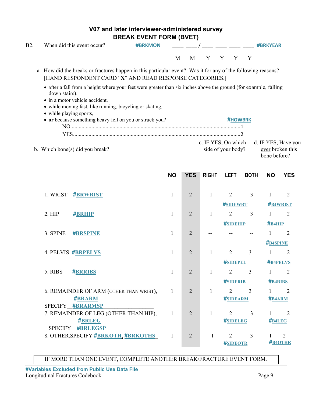## **V07 and later interviewer-administered survey BREAK EVENT FORM (BVET)**

|                  |                                                                                                                                                                                                                                                            | DREAR EVENT FURM (DVET) |              |                |              |                                           |                |                                  |                     |
|------------------|------------------------------------------------------------------------------------------------------------------------------------------------------------------------------------------------------------------------------------------------------------|-------------------------|--------------|----------------|--------------|-------------------------------------------|----------------|----------------------------------|---------------------|
| B <sub>2</sub> . | When did this event occur?                                                                                                                                                                                                                                 | <b>#BRKMON</b>          |              |                |              |                                           |                | <b>#BRKYEAR</b>                  |                     |
|                  |                                                                                                                                                                                                                                                            |                         | M            | M              | Y            | Y<br>Y                                    | Y              |                                  |                     |
|                  | a. How did the breaks or fractures happen in this particular event? Was it for any of the following reasons?<br>[HAND RESPONDENT CARD "X" AND READ RESPONSE CATEGORIES.]                                                                                   |                         |              |                |              |                                           |                |                                  |                     |
|                  | • after a fall from a height where your feet were greater than six inches above the ground (for example, falling<br>down stairs),<br>• in a motor vehicle accident,<br>• while moving fast, like running, bicycling or skating,<br>• while playing sports, |                         |              |                |              |                                           |                |                                  |                     |
|                  | • or because something heavy fell on you or struck you?                                                                                                                                                                                                    |                         |              |                |              | <b>#HOWBRK</b>                            |                |                                  |                     |
|                  |                                                                                                                                                                                                                                                            |                         |              |                |              |                                           |                |                                  |                     |
|                  | b. Which bone(s) did you break?                                                                                                                                                                                                                            |                         |              |                |              | c. IF YES, On which<br>side of your body? |                | ever broken this<br>bone before? | d. IF YES, Have you |
|                  |                                                                                                                                                                                                                                                            |                         | <b>NO</b>    | <b>YES</b>     | <b>RIGHT</b> | <b>LEFT</b>                               | <b>BOTH</b>    | <b>NO</b>                        | <b>YES</b>          |
|                  | 1. WRIST<br><b>#BRWRIST</b>                                                                                                                                                                                                                                |                         | 1            | 2              | $\mathbf{1}$ | 2                                         | 3              | 1                                | 2                   |
|                  |                                                                                                                                                                                                                                                            |                         |              |                |              | <b>#SIDEWRT</b>                           |                | <b>#B4WRIST</b>                  |                     |
|                  | 2. HIP<br><b>#BRHIP</b>                                                                                                                                                                                                                                    |                         | 1            | 2              | 1            | $\overline{2}$                            | 3              | 1                                | $\overline{2}$      |
|                  |                                                                                                                                                                                                                                                            |                         |              |                |              | <b>#SIDEHIP</b>                           |                | #B4HIP                           |                     |
|                  | 3. SPINE<br><b>#BRSPINE</b>                                                                                                                                                                                                                                |                         | 1            | $\overline{2}$ |              |                                           |                | 1                                | $\overline{2}$      |
|                  |                                                                                                                                                                                                                                                            |                         |              |                |              |                                           |                | <b>#B4SPINE</b>                  |                     |
|                  | 4. PELVIS <b>#BRPELVS</b>                                                                                                                                                                                                                                  |                         | $\mathbf{1}$ | $\overline{2}$ | 1            | 2                                         | 3              | 1                                | 2                   |
|                  |                                                                                                                                                                                                                                                            |                         |              |                |              | <b>#SIDEPEL</b>                           |                | <b>#B4PELVS</b>                  |                     |
|                  | 5. RIBS<br><b>#BRRIBS</b>                                                                                                                                                                                                                                  |                         | 1            | 2              | 1            | 2                                         | $\overline{3}$ | 1                                | 2                   |
|                  |                                                                                                                                                                                                                                                            |                         |              |                |              | <b>#SIDERIB</b>                           |                | # <sub>B4RIBS</sub>              |                     |
|                  | 6. REMAINDER OF ARM (OTHER THAN WRIST),                                                                                                                                                                                                                    |                         | 1            | 2              | 1            | $\overline{2}$                            | 3              | 1                                | $\overline{2}$      |
|                  | <b>#BRARM</b>                                                                                                                                                                                                                                              |                         |              |                |              | <b>#SIDEARM</b>                           |                | #B4ARM                           |                     |
|                  | SPECIFY #BRARMSP                                                                                                                                                                                                                                           |                         |              |                |              |                                           |                |                                  |                     |
|                  | 7. REMAINDER OF LEG (OTHER THAN HIP),                                                                                                                                                                                                                      |                         | 1            | $\overline{2}$ | 1            | 2                                         | $\overline{3}$ | 1                                | 2                   |
|                  | <b>#BRLEG</b>                                                                                                                                                                                                                                              |                         |              |                |              | <b>#SIDELEG</b>                           |                | #B4LEG                           |                     |
|                  | SPECIFY <b>#BRLEGSP</b><br>8. OTHER, SPECIFY #BRKOTH, #BRKOTHS                                                                                                                                                                                             |                         | 1            | 2              | 1            | 2                                         | 3              | 1<br>#B <sub>4</sub> OTHR        | $\overline{2}$      |
|                  |                                                                                                                                                                                                                                                            |                         |              |                |              | <b>#SIDEOTR</b>                           |                |                                  |                     |

IF MORE THAN ONE EVENT, COMPLETE ANOTHER BREAK/FRACTURE EVENT FORM.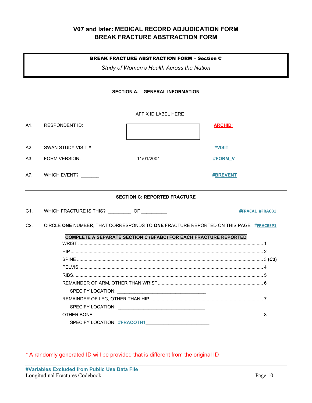## **V07 and later: MEDICAL RECORD ADJUDICATION FORM BREAK FRACTURE ABSTRACTION FORM**

#### BREAK FRACTURE ABSTRACTION FORM – Section C

*Study of Women's Health Across the Nation*

**SECTION A. GENERAL INFORMATION**

AFFIX ID LABEL HERE

| A1.              | <b>RESPONDENT ID:</b>                            |                                                                         | <b>ARCHID</b> <sup>~</sup>                                                          |
|------------------|--------------------------------------------------|-------------------------------------------------------------------------|-------------------------------------------------------------------------------------|
| A2.              | SWAN STUDY VISIT #                               |                                                                         | #VISIT                                                                              |
| A3.              | <b>FORM VERSION:</b>                             | 11/01/2004                                                              | #FORM V                                                                             |
| A7.              | <b>WHICH EVENT?</b>                              |                                                                         | <b>#BREVENT</b>                                                                     |
|                  |                                                  | <b>SECTION C: REPORTED FRACTURE</b>                                     |                                                                                     |
| $C1$ .           | WHICH FRACTURE IS THIS? ___________ OF _________ |                                                                         | <b>#FRACA1 #FRACB1</b>                                                              |
| C <sub>2</sub> . |                                                  | <b>COMPLETE A SEPARATE SECTION C (BFABC) FOR EACH FRACTURE REPORTED</b> | CIRCLE ONE NUMBER, THAT CORRESPONDS TO ONE FRACTURE REPORTED ON THIS PAGE #FRACREP1 |
|                  |                                                  |                                                                         |                                                                                     |
|                  |                                                  |                                                                         |                                                                                     |
|                  |                                                  |                                                                         |                                                                                     |
|                  |                                                  |                                                                         |                                                                                     |
|                  |                                                  |                                                                         |                                                                                     |
|                  |                                                  |                                                                         |                                                                                     |
|                  |                                                  |                                                                         |                                                                                     |
|                  |                                                  | SPECIFY LOCATION: <b>CONSUMING A SPECIFY</b> LOCATION:                  |                                                                                     |
|                  |                                                  |                                                                         |                                                                                     |
|                  | <b>SPECIFY LOCATION: #FRACOTH1</b>               |                                                                         |                                                                                     |

<sup>~</sup> A randomly generated ID will be provided that is different from the original ID